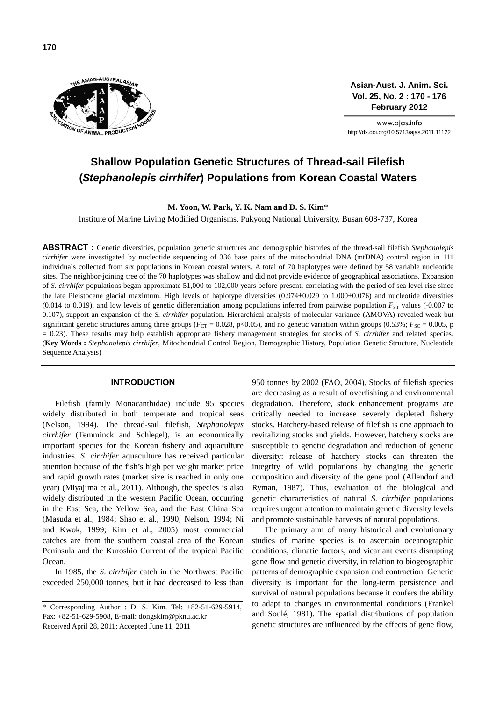

**Asian-Aust. J. Anim. Sci. Vol. 25, No. 2 : 170 - 176 February 2012**

www.ajas.info http://dx.doi.org/10.5713/ajas.2011.11122

# **Shallow Population Genetic Structures of Thread-sail Filefish (***Stephanolepis cirrhifer***) Populations from Korean Coastal Waters**

**M. Yoon, W. Park, Y. K. Nam and D. S. Kim**\*

Institute of Marine Living Modified Organisms, Pukyong National University, Busan 608-737, Korea

**ABSTRACT :** Genetic diversities, population genetic structures and demographic histories of the thread-sail filefish *Stephanolepis cirrhifer* were investigated by nucleotide sequencing of 336 base pairs of the mitochondrial DNA (mtDNA) control region in 111 individuals collected from six populations in Korean coastal waters. A total of 70 haplotypes were defined by 58 variable nucleotide sites. The neighbor-joining tree of the 70 haplotypes was shallow and did not provide evidence of geographical associations. Expansion of *S. cirrhifer* populations began approximate 51,000 to 102,000 years before present, correlating with the period of sea level rise since the late Pleistocene glacial maximum. High levels of haplotype diversities (0.974±0.029 to 1.000±0.076) and nucleotide diversities (0.014 to 0.019), and low levels of genetic differentiation among populations inferred from pairwise population  $F_{ST}$  values (-0.007 to 0.107), support an expansion of the *S. cirrhifer* population. Hierarchical analysis of molecular variance (AMOVA) revealed weak but significant genetic structures among three groups ( $F_{\text{CT}} = 0.028$ , p<0.05), and no genetic variation within groups (0.53%;  $F_{\text{SC}} = 0.005$ , p = 0.23). These results may help establish appropriate fishery management strategies for stocks of *S. cirrhifer* and related species. (**Key Words :** *Stephanolepis cirrhifer*, Mitochondrial Control Region, Demographic History, Population Genetic Structure, Nucleotide Sequence Analysis)

## **INTRODUCTION**

Filefish (family Monacanthidae) include 95 species widely distributed in both temperate and tropical seas (Nelson, 1994). The thread-sail filefish, *Stephanolepis cirrhifer* (Temminck and Schlegel), is an economically important species for the Korean fishery and aquaculture industries. *S*. *cirrhifer* aquaculture has received particular attention because of the fish's high per weight market price and rapid growth rates (market size is reached in only one year) (Miyajima et al., 2011). Although, the species is also widely distributed in the western Pacific Ocean, occurring in the East Sea, the Yellow Sea, and the East China Sea (Masuda et al., 1984; Shao et al., 1990; Nelson, 1994; Ni and Kwok, 1999; Kim et al., 2005) most commercial catches are from the southern coastal area of the Korean Peninsula and the Kuroshio Current of the tropical Pacific Ocean.

In 1985, the *S*. *cirrhifer* catch in the Northwest Pacific exceeded 250,000 tonnes, but it had decreased to less than

950 tonnes by 2002 (FAO, 2004). Stocks of filefish species are decreasing as a result of overfishing and environmental degradation. Therefore, stock enhancement programs are critically needed to increase severely depleted fishery stocks. Hatchery-based release of filefish is one approach to revitalizing stocks and yields. However, hatchery stocks are susceptible to genetic degradation and reduction of genetic diversity: release of hatchery stocks can threaten the integrity of wild populations by changing the genetic composition and diversity of the gene pool (Allendorf and Ryman, 1987). Thus, evaluation of the biological and genetic characteristics of natural *S. cirrhifer* populations requires urgent attention to maintain genetic diversity levels and promote sustainable harvests of natural populations.

The primary aim of many historical and evolutionary studies of marine species is to ascertain oceanographic conditions, climatic factors, and vicariant events disrupting gene flow and genetic diversity, in relation to biogeographic patterns of demographic expansion and contraction. Genetic diversity is important for the long-term persistence and survival of natural populations because it confers the ability to adapt to changes in environmental conditions (Frankel and Soulé, 1981). The spatial distributions of population genetic structures are influenced by the effects of gene flow,

<sup>\*</sup> Corresponding Author : D. S. Kim. Tel: +82-51-629-5914, Fax: +82-51-629-5908, E-mail: dongskim@pknu.ac.kr Received April 28, 2011; Accepted June 11, 2011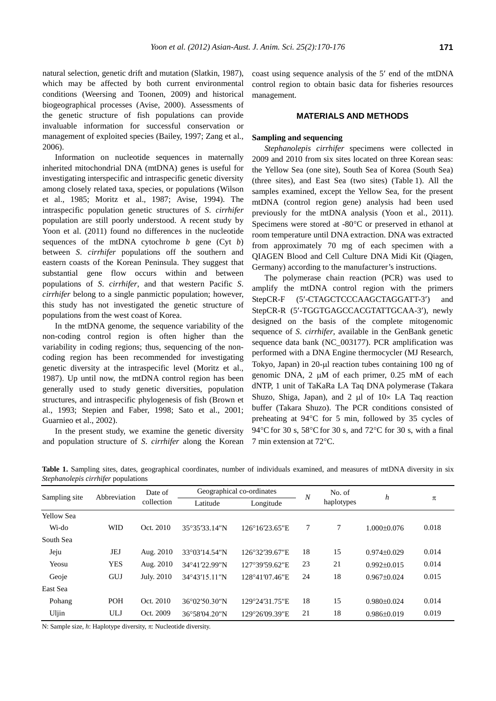natural selection, genetic drift and mutation (Slatkin, 1987), which may be affected by both current environmental conditions (Weersing and Toonen, 2009) and historical biogeographical processes (Avise, 2000). Assessments of the genetic structure of fish populations can provide invaluable information for successful conservation or management of exploited species (Bailey, 1997; Zang et al., 2006).

Information on nucleotide sequences in maternally inherited mitochondrial DNA (mtDNA) genes is useful for investigating interspecific and intraspecific genetic diversity among closely related taxa, species, or populations (Wilson et al., 1985; Moritz et al., 1987; Avise, 1994). The intraspecific population genetic structures of *S*. *cirrhifer* population are still poorly understood. A recent study by Yoon et al. (2011) found no differences in the nucleotide sequences of the mtDNA cytochrome *b* gene (Cyt *b*) between *S*. *cirrhifer* populations off the southern and eastern coasts of the Korean Peninsula. They suggest that substantial gene flow occurs within and between populations of *S*. *cirrhifer*, and that western Pacific *S*. *cirrhifer* belong to a single panmictic population; however, this study has not investigated the genetic structure of populations from the west coast of Korea.

In the mtDNA genome, the sequence variability of the non-coding control region is often higher than the variability in coding regions; thus, sequencing of the noncoding region has been recommended for investigating genetic diversity at the intraspecific level (Moritz et al., 1987). Up until now, the mtDNA control region has been generally used to study genetic diversities, population structures, and intraspecific phylogenesis of fish (Brown et al., 1993; Stepien and Faber, 1998; Sato et al., 2001; Guarnieo et al., 2002).

In the present study, we examine the genetic diversity and population structure of *S*. *cirrhifer* along the Korean coast using sequence analysis of the 5′ end of the mtDNA control region to obtain basic data for fisheries resources management.

### **MATERIALS AND METHODS**

#### **Sampling and sequencing**

*Stephanolepis cirrhifer* specimens were collected in 2009 and 2010 from six sites located on three Korean seas: the Yellow Sea (one site), South Sea of Korea (South Sea) (three sites), and East Sea (two sites) (Table 1). All the samples examined, except the Yellow Sea, for the present mtDNA (control region gene) analysis had been used previously for the mtDNA analysis (Yoon et al., 2011). Specimens were stored at -80°C or preserved in ethanol at room temperature until DNA extraction. DNA was extracted from approximately 70 mg of each specimen with a QIAGEN Blood and Cell Culture DNA Midi Kit (Qiagen, Germany) according to the manufacturer's instructions.

The polymerase chain reaction (PCR) was used to amplify the mtDNA control region with the primers StepCR-F (5′-CTAGCTCCCAAGCTAGGATT-3′) and StepCR-R (5′-TGGTGAGCCACGTATTGCAA-3′), newly designed on the basis of the complete mitogenomic sequence of *S*. *cirrhifer*, available in the GenBank genetic sequence data bank (NC\_003177). PCR amplification was performed with a DNA Engine thermocycler (MJ Research, Tokyo, Japan) in 20-µl reaction tubes containing 100 ng of genomic DNA, 2 µM of each primer, 0.25 mM of each dNTP, 1 unit of TaKaRa LA Taq DNA polymerase (Takara Shuzo, Shiga, Japan), and  $2 \mu l$  of  $10 \times L$ A Taq reaction buffer (Takara Shuzo). The PCR conditions consisted of preheating at 94°C for 5 min, followed by 35 cycles of 94 $\rm ^{o}C$  for 30 s, 58 $\rm ^{o}C$  for 30 s, and 72 $\rm ^{o}C$  for 30 s, with a final 7 min extension at 72°C.

| Sampling site     | Abbreviation | Date of<br>collection | Geographical co-ordinates |                | $\boldsymbol{N}$ | No. of     | h                 |       |
|-------------------|--------------|-----------------------|---------------------------|----------------|------------------|------------|-------------------|-------|
|                   |              |                       | Latitude                  | Longitude      |                  | haplotypes |                   | π     |
| <b>Yellow Sea</b> |              |                       |                           |                |                  |            |                   |       |
| Wi-do             | <b>WID</b>   | Oct. 2010             | 35°35'33.14"N             | 126°16'23.65"E | 7                | 7          | $1.000\pm0.076$   | 0.018 |
| South Sea         |              |                       |                           |                |                  |            |                   |       |
| Jeju              | JEJ          | Aug. 2010             | 33°03'14.54"N             | 126°32'39.67"E | 18               | 15         | $0.974 \pm 0.029$ | 0.014 |
| Yeosu             | <b>YES</b>   | Aug. 2010             | 34°41'22.99"N             | 127°39'59.62"E | 23               | 21         | $0.992 \pm 0.015$ | 0.014 |
| Geoje             | <b>GUJ</b>   | July. 2010            | 34°43'15.11"N             | 128°41'07.46"E | 24               | 18         | $0.967 \pm 0.024$ | 0.015 |
| East Sea          |              |                       |                           |                |                  |            |                   |       |
| Pohang            | <b>POH</b>   | Oct. 2010             | 36°02'50.30"N             | 129°24'31.75"E | 18               | 15         | $0.980 \pm 0.024$ | 0.014 |
| Uljin             | ULJ          | Oct. 2009             | 36°58′04.20″N             | 129°26′09.39″E | 21               | 18         | $0.986 \pm 0.019$ | 0.019 |

**Table 1.** Sampling sites, dates, geographical coordinates, number of individuals examined, and measures of mtDNA diversity in six *Stephanolepis cirrhifer* populations

N: Sample size, *h*: Haplotype diversity, π: Nucleotide diversity.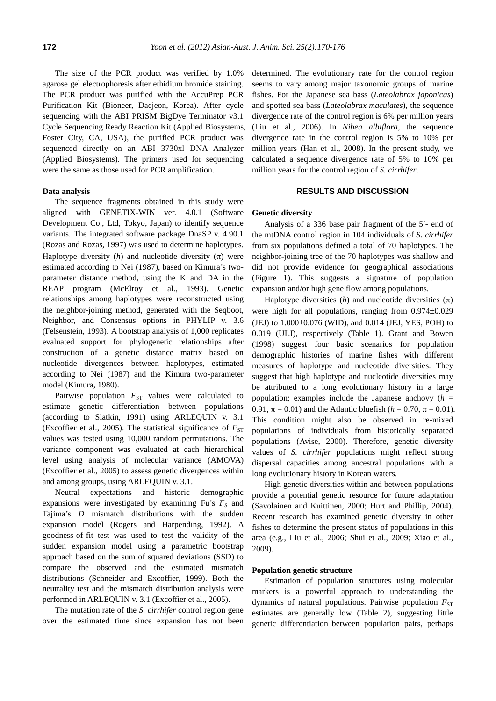The size of the PCR product was verified by 1.0% agarose gel electrophoresis after ethidium bromide staining. The PCR product was purified with the AccuPrep PCR Purification Kit (Bioneer, Daejeon, Korea). After cycle sequencing with the ABI PRISM BigDye Terminator v3.1 Cycle Sequencing Ready Reaction Kit (Applied Biosystems, Foster City, CA, USA), the purified PCR product was sequenced directly on an ABI 3730xl DNA Analyzer (Applied Biosystems). The primers used for sequencing were the same as those used for PCR amplification.

#### **Data analysis**

The sequence fragments obtained in this study were aligned with GENETIX-WIN ver. 4.0.1 (Software Development Co., Ltd, Tokyo, Japan) to identify sequence variants. The integrated software package DnaSP v. 4.90.1 (Rozas and Rozas, 1997) was used to determine haplotypes. Haplotype diversity (*h*) and nucleotide diversity ( $\pi$ ) were estimated according to Nei (1987), based on Kimura's twoparameter distance method, using the K and DA in the REAP program (McElroy et al., 1993). Genetic relationships among haplotypes were reconstructed using the neighbor-joining method, generated with the Seqboot, Neighbor, and Consensus options in PHYLIP v. 3.6 (Felsenstein, 1993). A bootstrap analysis of 1,000 replicates evaluated support for phylogenetic relationships after construction of a genetic distance matrix based on nucleotide divergences between haplotypes, estimated according to Nei (1987) and the Kimura two-parameter model (Kimura, 1980).

Pairwise population  $F_{ST}$  values were calculated to estimate genetic differentiation between populations (according to Slatkin, 1991) using ARLEQUIN v. 3.1 (Excoffier et al., 2005). The statistical significance of  $F_{ST}$ values was tested using 10,000 random permutations. The variance component was evaluated at each hierarchical level using analysis of molecular variance (AMOVA) (Excoffier et al., 2005) to assess genetic divergences within and among groups, using ARLEQUIN v. 3.1.

Neutral expectations and historic demographic expansions were investigated by examining Fu's  $F<sub>S</sub>$  and Tajima's *D* mismatch distributions with the sudden expansion model (Rogers and Harpending, 1992). A goodness-of-fit test was used to test the validity of the sudden expansion model using a parametric bootstrap approach based on the sum of squared deviations (SSD) to compare the observed and the estimated mismatch distributions (Schneider and Excoffier, 1999). Both the neutrality test and the mismatch distribution analysis were performed in ARLEQUIN v. 3.1 (Excoffier et al., 2005).

The mutation rate of the *S. cirrhifer* control region gene over the estimated time since expansion has not been

determined. The evolutionary rate for the control region seems to vary among major taxonomic groups of marine fishes. For the Japanese sea bass (*Lateolabrax japonicas*) and spotted sea bass (*Lateolabrax maculates*), the sequence divergence rate of the control region is 6% per million years (Liu et al., 2006). In *Nibea albiflora*, the sequence divergence rate in the control region is 5% to 10% per million years (Han et al., 2008). In the present study, we calculated a sequence divergence rate of 5% to 10% per million years for the control region of *S. cirrhifer*.

## **RESULTS AND DISCUSSION**

#### **Genetic diversity**

Analysis of a 336 base pair fragment of the 5′- end of the mtDNA control region in 104 individuals of *S. cirrhifer* from six populations defined a total of 70 haplotypes. The neighbor-joining tree of the 70 haplotypes was shallow and did not provide evidence for geographical associations (Figure 1). This suggests a signature of population expansion and/or high gene flow among populations.

Haplotype diversities  $(h)$  and nucleotide diversities  $(\pi)$ were high for all populations, ranging from 0.974±0.029 (JEJ) to 1.000±0.076 (WID), and 0.014 (JEJ, YES, POH) to 0.019 (ULJ), respectively (Table 1). Grant and Bowen (1998) suggest four basic scenarios for population demographic histories of marine fishes with different measures of haplotype and nucleotide diversities. They suggest that high haplotype and nucleotide diversities may be attributed to a long evolutionary history in a large population; examples include the Japanese anchovy  $(h =$ 0.91,  $\pi$  = 0.01) and the Atlantic bluefish ( $h$  = 0.70,  $\pi$  = 0.01). This condition might also be observed in re-mixed populations of individuals from historically separated populations (Avise, 2000). Therefore, genetic diversity values of *S. cirrhifer* populations might reflect strong dispersal capacities among ancestral populations with a long evolutionary history in Korean waters.

High genetic diversities within and between populations provide a potential genetic resource for future adaptation (Savolainen and Kuittinen, 2000; Hurt and Phillip, 2004). Recent research has examined genetic diversity in other fishes to determine the present status of populations in this area (e.g., Liu et al., 2006; Shui et al., 2009; Xiao et al., 2009).

## **Population genetic structure**

Estimation of population structures using molecular markers is a powerful approach to understanding the dynamics of natural populations. Pairwise population  $F_{ST}$ estimates are generally low (Table 2), suggesting little genetic differentiation between population pairs, perhaps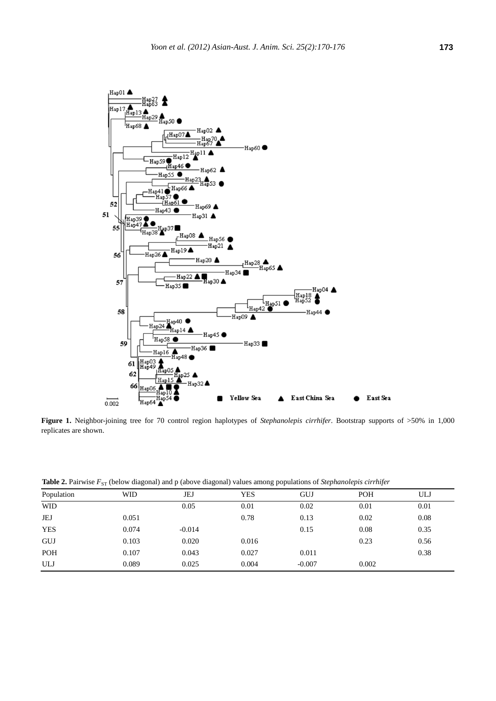

**Figure 1.** Neighbor-joining tree for 70 control region haplotypes of *Stephanolepis cirrhifer*. Bootstrap supports of >50% in 1,000 replicates are shown.

Table 2. Pairwise  $F_{ST}$  (below diagonal) and p (above diagonal) values among populations of *Stephanolepis cirrhifer* 

|            | $\cdots$<br>ັ | $\sim$<br>ັ | $\sim$ 1   |          |            |      |
|------------|---------------|-------------|------------|----------|------------|------|
| Population | <b>WID</b>    | JEJ         | <b>YES</b> | GUJ      | <b>POH</b> | ULJ  |
| <b>WID</b> |               | 0.05        | 0.01       | 0.02     | 0.01       | 0.01 |
| JEJ        | 0.051         |             | 0.78       | 0.13     | 0.02       | 0.08 |
| <b>YES</b> | 0.074         | $-0.014$    |            | 0.15     | 0.08       | 0.35 |
| <b>GUJ</b> | 0.103         | 0.020       | 0.016      |          | 0.23       | 0.56 |
| <b>POH</b> | 0.107         | 0.043       | 0.027      | 0.011    |            | 0.38 |
| ULJ        | 0.089         | 0.025       | 0.004      | $-0.007$ | 0.002      |      |
|            |               |             |            |          |            |      |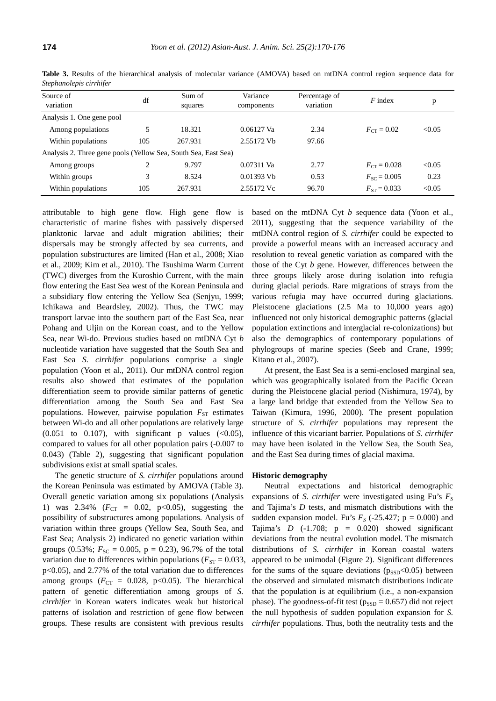| Stephanolepis cirrhiter                                        |     |         |            |                            |                  |        |
|----------------------------------------------------------------|-----|---------|------------|----------------------------|------------------|--------|
| Source of<br>variation                                         | df  | Sum of  | Variance   | Percentage of<br>variation | $F$ index        | p      |
|                                                                |     | squares | components |                            |                  |        |
| Analysis 1. One gene pool                                      |     |         |            |                            |                  |        |
| Among populations                                              |     | 18.321  | 0.06127 Va | 2.34                       | $F_{CT} = 0.02$  | < 0.05 |
| Within populations                                             | 105 | 267.931 | 2.55172 Vb | 97.66                      |                  |        |
| Analysis 2. Three gene pools (Yellow Sea, South Sea, East Sea) |     |         |            |                            |                  |        |
| Among groups                                                   |     | 9.797   | 0.07311 Va | 2.77                       | $F_{CT} = 0.028$ | < 0.05 |

Within groups 3 8.524 0.01393 Vb 0.53  $F_{SC} = 0.005$  0.23 Within populations 105 267.931 2.55172 Vc 96.70  $F_{ST} = 0.033$  <0.05

**Table 3.** Results of the hierarchical analysis of molecular variance (AMOVA) based on mtDNA control region sequence data for *Stephanolepis cirrhifer*

attributable to high gene flow. High gene flow is characteristic of marine fishes with passively dispersed planktonic larvae and adult migration abilities; their dispersals may be strongly affected by sea currents, and population substructures are limited (Han et al., 2008; Xiao et al., 2009; Kim et al., 2010). The Tsushima Warm Current (TWC) diverges from the Kuroshio Current, with the main flow entering the East Sea west of the Korean Peninsula and a subsidiary flow entering the Yellow Sea (Senjyu, 1999; Ichikawa and Beardsley, 2002). Thus, the TWC may transport larvae into the southern part of the East Sea, near Pohang and Uljin on the Korean coast, and to the Yellow Sea, near Wi-do. Previous studies based on mtDNA Cyt *b* nucleotide variation have suggested that the South Sea and East Sea *S. cirrhifer* populations comprise a single population (Yoon et al., 2011). Our mtDNA control region results also showed that estimates of the population differentiation seem to provide similar patterns of genetic differentiation among the South Sea and East Sea populations. However, pairwise population  $F_{ST}$  estimates between Wi-do and all other populations are relatively large  $(0.051 \text{ to } 0.107)$ , with significant p values  $( $0.05$ ),$ compared to values for all other population pairs (-0.007 to 0.043) (Table 2), suggesting that significant population subdivisions exist at small spatial scales.

The genetic structure of *S. cirrhifer* populations around the Korean Peninsula was estimated by AMOVA (Table 3). Overall genetic variation among six populations (Analysis 1) was  $2.34\%$  ( $F_{CT} = 0.02$ ,  $p < 0.05$ ), suggesting the possibility of substructures among populations. Analysis of variation within three groups (Yellow Sea, South Sea, and East Sea; Analysis 2) indicated no genetic variation within groups (0.53%;  $F_{SC} = 0.005$ ,  $p = 0.23$ ), 96.7% of the total variation due to differences within populations ( $F_{ST} = 0.033$ , p<0.05), and 2.77% of the total variation due to differences among groups ( $F_{CT} = 0.028$ , p<0.05). The hierarchical pattern of genetic differentiation among groups of *S. cirrhifer* in Korean waters indicates weak but historical patterns of isolation and restriction of gene flow between groups. These results are consistent with previous results

based on the mtDNA Cyt *b* sequence data (Yoon et al., 2011), suggesting that the sequence variability of the mtDNA control region of *S. cirrhifer* could be expected to provide a powerful means with an increased accuracy and resolution to reveal genetic variation as compared with the those of the Cyt *b* gene. However, differences between the three groups likely arose during isolation into refugia during glacial periods. Rare migrations of strays from the various refugia may have occurred during glaciations. Pleistocene glaciations (2.5 Ma to 10,000 years ago) influenced not only historical demographic patterns (glacial population extinctions and interglacial re-colonizations) but also the demographics of contemporary populations of phylogroups of marine species (Seeb and Crane, 1999; Kitano et al., 2007).

At present, the East Sea is a semi-enclosed marginal sea, which was geographically isolated from the Pacific Ocean during the Pleistocene glacial period (Nishimura, 1974), by a large land bridge that extended from the Yellow Sea to Taiwan (Kimura, 1996, 2000). The present population structure of *S. cirrhifer* populations may represent the influence of this vicariant barrier. Populations of *S. cirrhifer* may have been isolated in the Yellow Sea, the South Sea, and the East Sea during times of glacial maxima.

#### **Historic demography**

Neutral expectations and historical demographic expansions of *S. cirrhifer* were investigated using Fu's  $F<sub>S</sub>$ and Tajima's *D* tests, and mismatch distributions with the sudden expansion model. Fu's  $F_S$  (-25.427; p = 0.000) and Tajima's  $D$  (-1.708;  $p = 0.020$ ) showed significant deviations from the neutral evolution model. The mismatch distributions of *S. cirrhifer* in Korean coastal waters appeared to be unimodal (Figure 2). Significant differences for the sums of the square deviations ( $p_{\rm SSD}$ <0.05) between the observed and simulated mismatch distributions indicate that the population is at equilibrium (i.e., a non-expansion phase). The goodness-of-fit test ( $p_{\text{SSD}} = 0.657$ ) did not reject the null hypothesis of sudden population expansion for *S. cirrhifer* populations. Thus, both the neutrality tests and the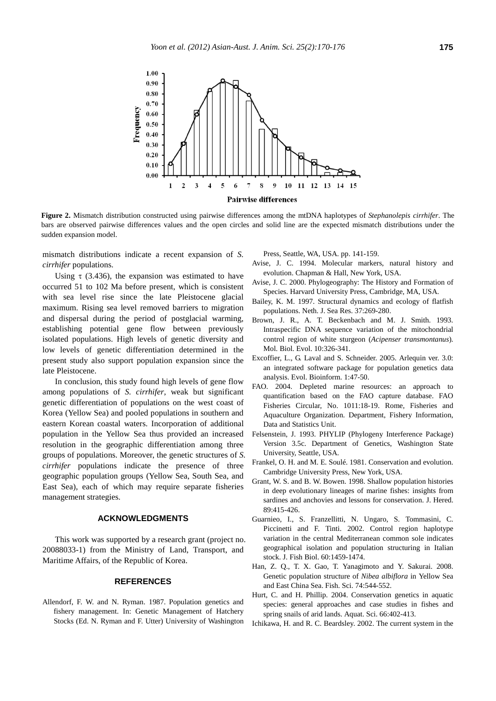

**Figure 2.** Mismatch distribution constructed using pairwise differences among the mtDNA haplotypes of *Stephanolepis cirrhifer*. The bars are observed pairwise differences values and the open circles and solid line are the expected mismatch distributions under the sudden expansion model.

mismatch distributions indicate a recent expansion of *S. cirrhifer* populations.

Using  $\tau$  (3.436), the expansion was estimated to have occurred 51 to 102 Ma before present, which is consistent with sea level rise since the late Pleistocene glacial maximum. Rising sea level removed barriers to migration and dispersal during the period of postglacial warming, establishing potential gene flow between previously isolated populations. High levels of genetic diversity and low levels of genetic differentiation determined in the present study also support population expansion since the late Pleistocene.

In conclusion, this study found high levels of gene flow among populations of *S. cirrhifer*, weak but significant genetic differentiation of populations on the west coast of Korea (Yellow Sea) and pooled populations in southern and eastern Korean coastal waters. Incorporation of additional population in the Yellow Sea thus provided an increased resolution in the geographic differentiation among three groups of populations. Moreover, the genetic structures of *S. cirrhifer* populations indicate the presence of three geographic population groups (Yellow Sea, South Sea, and East Sea), each of which may require separate fisheries management strategies.

#### **ACKNOWLEDGMENTS**

This work was supported by a research grant (project no. 20088033-1) from the Ministry of Land, Transport, and Maritime Affairs, of the Republic of Korea.

#### **REFERENCES**

Allendorf, F. W. and N. Ryman. 1987. Population genetics and fishery management. In: Genetic Management of Hatchery Stocks (Ed. N. Ryman and F. Utter) University of Washington Press, Seattle, WA, USA. pp. 141-159.

- Avise, J. C. 1994. Molecular markers, natural history and evolution. Chapman & Hall, New York, USA.
- Avise, J. C. 2000. Phylogeography: The History and Formation of Species. Harvard University Press, Cambridge, MA, USA.
- Bailey, K. M. 1997. Structural dynamics and ecology of flatfish populations. Neth. J. Sea Res. 37:269-280.
- Brown, J. R., A. T. Beckenbach and M. J. Smith. 1993. Intraspecific DNA sequence variation of the mitochondrial control region of white sturgeon (*Acipenser transmontanus*). Mol. Biol. Evol. 10:326-341.
- Excoffier, L., G. Laval and S. Schneider. 2005. Arlequin ver. 3.0: an integrated software package for population genetics data analysis. Evol. Bioinform. 1:47-50.
- FAO. 2004. Depleted marine resources: an approach to quantification based on the FAO capture database. FAO Fisheries Circular, No. 1011:18-19. Rome, Fisheries and Aquaculture Organization. Department, Fishery Information, Data and Statistics Unit.
- Felsenstein, J. 1993. PHYLIP (Phylogeny Interference Package) Version 3.5c. Department of Genetics, Washington State University, Seattle, USA.
- Frankel, O. H. and M. E. Soulé. 1981. Conservation and evolution. Cambridge University Press, New York, USA.
- Grant, W. S. and B. W. Bowen. 1998. Shallow population histories in deep evolutionary lineages of marine fishes: insights from sardines and anchovies and lessons for conservation. J. Hered. 89:415-426.
- Guarnieo, I., S. Franzellitti, N. Ungaro, S. Tommasini, C. Piccinetti and F. Tinti. 2002. Control region haplotype variation in the central Mediterranean common sole indicates geographical isolation and population structuring in Italian stock. J. Fish Biol. 60:1459-1474.
- Han, Z. Q., T. X. Gao, T. Yanagimoto and Y. Sakurai. 2008. Genetic population structure of *Nibea albiflora* in Yellow Sea and East China Sea. Fish. Sci. 74:544-552.
- Hurt, C. and H. Phillip. 2004. Conservation genetics in aquatic species: general approaches and case studies in fishes and spring snails of arid lands. Aquat. Sci. 66:402-413.
- Ichikawa, H. and R. C. Beardsley. 2002. The current system in the